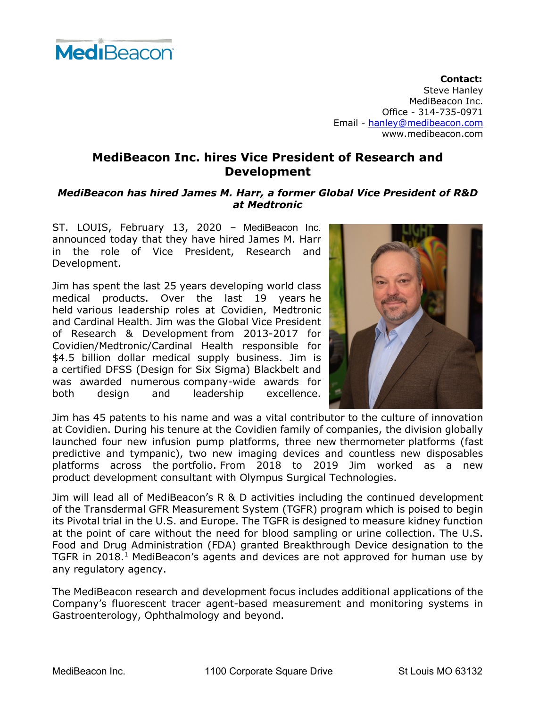

**Contact:** Steve Hanley MediBeacon Inc. Office - 314-735-0971 Email - hanley@medibeacon.com www.medibeacon.com

## **MediBeacon Inc. hires Vice President of Research and Development**

## *MediBeacon has hired James M. Harr, a former Global Vice President of R&D at Medtronic*

ST. LOUIS, February 13, 2020 – MediBeacon Inc. announced today that they have hired James M. Harr in the role of Vice President, Research and Development.

Jim has spent the last 25 years developing world class medical products. Over the last 19 years he held various leadership roles at Covidien, Medtronic and Cardinal Health. Jim was the Global Vice President of Research & Development from 2013-2017 for Covidien/Medtronic/Cardinal Health responsible for \$4.5 billion dollar medical supply business. Jim is a certified DFSS (Design for Six Sigma) Blackbelt and was awarded numerous company-wide awards for both design and leadership excellence.



Jim has 45 patents to his name and was a vital contributor to the culture of innovation at Covidien. During his tenure at the Covidien family of companies, the division globally launched four new infusion pump platforms, three new thermometer platforms (fast predictive and tympanic), two new imaging devices and countless new disposables platforms across the portfolio. From 2018 to 2019 Jim worked as a new product development consultant with Olympus Surgical Technologies.

Jim will lead all of MediBeacon's R & D activities including the continued development of the Transdermal GFR Measurement System (TGFR) program which is poised to begin its Pivotal trial in the U.S. and Europe. The TGFR is designed to measure kidney function at the point of care without the need for blood sampling or urine collection. The U.S. Food and Drug Administration (FDA) granted Breakthrough Device designation to the TGFR in 2018.<sup>1</sup> MediBeacon's agents and devices are not approved for human use by any regulatory agency.

The MediBeacon research and development focus includes additional applications of the Company's fluorescent tracer agent-based measurement and monitoring systems in Gastroenterology, Ophthalmology and beyond.